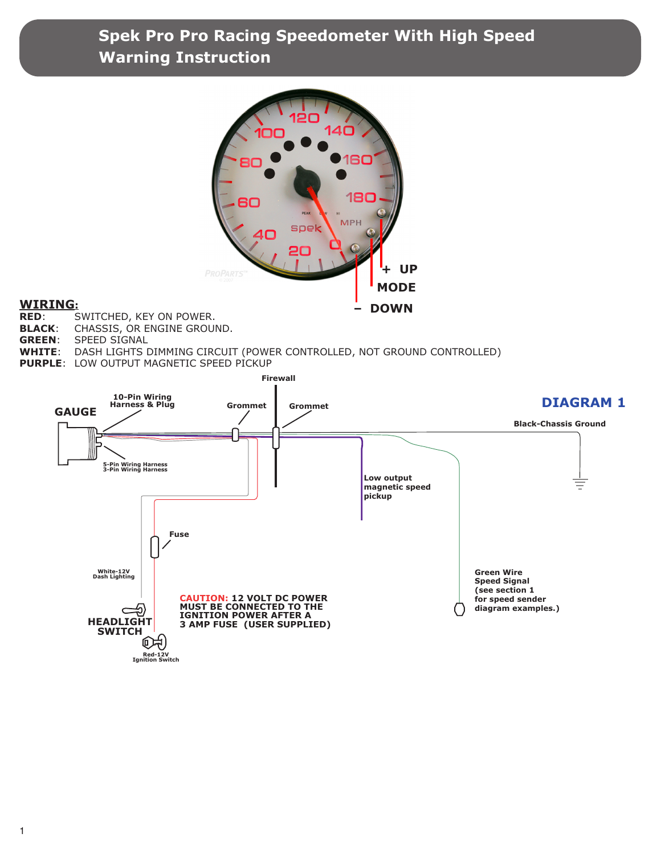

# **WIRING:**<br>RED: S

- **SWITCHED, KEY ON POWER.**
- **BLACK**: CHASSIS, OR ENGINE GROUND.
- **GREEN**: SPEED SIGNAL
- DASH LIGHTS DIMMING CIRCUIT (POWER CONTROLLED, NOT GROUND CONTROLLED)
- **PURPLE**: LOW OUTPUT MAGNETIC SPEED PICKUP

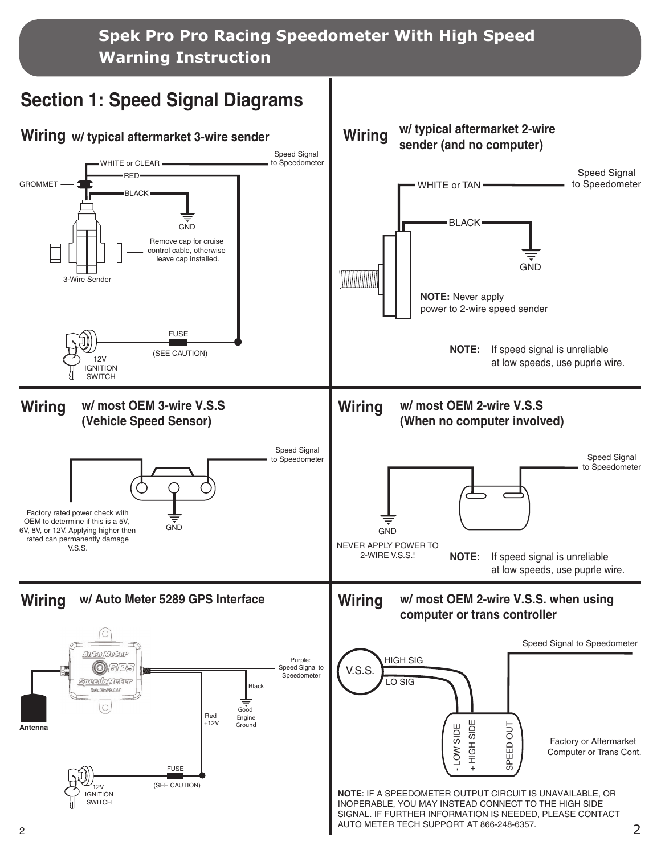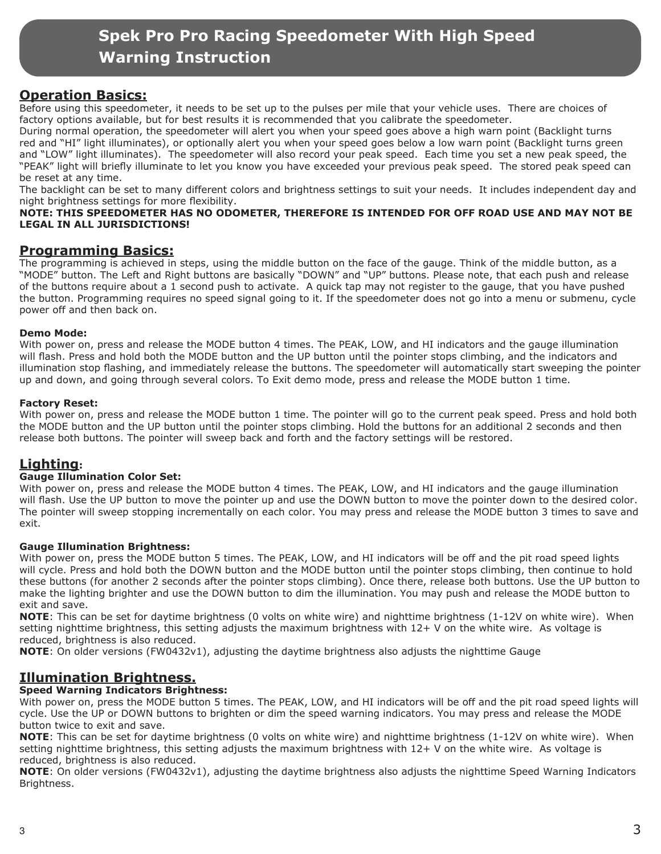## **Operation Basics:**

Before using this speedometer, it needs to be set up to the pulses per mile that your vehicle uses. There are choices of factory options available, but for best results it is recommended that you calibrate the speedometer.

During normal operation, the speedometer will alert you when your speed goes above a high warn point (Backlight turns red and "HI" light illuminates), or optionally alert you when your speed goes below a low warn point (Backlight turns green and "LOW" light illuminates). The speedometer will also record your peak speed. Each time you set a new peak speed, the "PEAK" light will briefly illuminate to let you know you have exceeded your previous peak speed. The stored peak speed can be reset at any time.

The backlight can be set to many different colors and brightness settings to suit your needs. It includes independent day and night brightness settings for more flexibility.

#### **NOTE: THIS SPEEDOMETER HAS NO ODOMETER, THEREFORE IS INTENDED FOR OFF ROAD USE AND MAY NOT BE LEGAL IN ALL JURISDICTIONS!**

## **Programming Basics:**

The programming is achieved in steps, using the middle button on the face of the gauge. Think of the middle button, as a "MODE" button. The Left and Right buttons are basically "DOWN" and "UP" buttons. Please note, that each push and release of the buttons require about a 1 second push to activate. A quick tap may not register to the gauge, that you have pushed the button. Programming requires no speed signal going to it. If the speedometer does not go into a menu or submenu, cycle power off and then back on.

## **Demo Mode:**

With power on, press and release the MODE button 4 times. The PEAK, LOW, and HI indicators and the gauge illumination will flash. Press and hold both the MODE button and the UP button until the pointer stops climbing, and the indicators and illumination stop flashing, and immediately release the buttons. The speedometer will automatically start sweeping the pointer up and down, and going through several colors. To Exit demo mode, press and release the MODE button 1 time.

## **Factory Reset:**

With power on, press and release the MODE button 1 time. The pointer will go to the current peak speed. Press and hold both the MODE button and the UP button until the pointer stops climbing. Hold the buttons for an additional 2 seconds and then release both buttons. The pointer will sweep back and forth and the factory settings will be restored.

## **Lighting:**

## **Gauge Illumination Color Set:**

With power on, press and release the MODE button 4 times. The PEAK, LOW, and HI indicators and the gauge illumination will flash. Use the UP button to move the pointer up and use the DOWN button to move the pointer down to the desired color. The pointer will sweep stopping incrementally on each color. You may press and release the MODE button 3 times to save and exit.

## **Gauge Illumination Brightness:**

With power on, press the MODE button 5 times. The PEAK, LOW, and HI indicators will be off and the pit road speed lights will cycle. Press and hold both the DOWN button and the MODE button until the pointer stops climbing, then continue to hold these buttons (for another 2 seconds after the pointer stops climbing). Once there, release both buttons. Use the UP button to make the lighting brighter and use the DOWN button to dim the illumination. You may push and release the MODE button to exit and save.

**NOTE**: This can be set for daytime brightness (0 volts on white wire) and nighttime brightness (1-12V on white wire). When setting nighttime brightness, this setting adjusts the maximum brightness with 12+ V on the white wire. As voltage is reduced, brightness is also reduced.

**NOTE**: On older versions (FW0432v1), adjusting the daytime brightness also adjusts the nighttime Gauge

## **Illumination Brightness.**

## **Speed Warning Indicators Brightness:**

With power on, press the MODE button 5 times. The PEAK, LOW, and HI indicators will be off and the pit road speed lights will cycle. Use the UP or DOWN buttons to brighten or dim the speed warning indicators. You may press and release the MODE button twice to exit and save.

**NOTE**: This can be set for daytime brightness (0 volts on white wire) and nighttime brightness (1-12V on white wire). When setting nighttime brightness, this setting adjusts the maximum brightness with 12+ V on the white wire. As voltage is reduced, brightness is also reduced.

**NOTE**: On older versions (FW0432v1), adjusting the daytime brightness also adjusts the nighttime Speed Warning Indicators Brightness.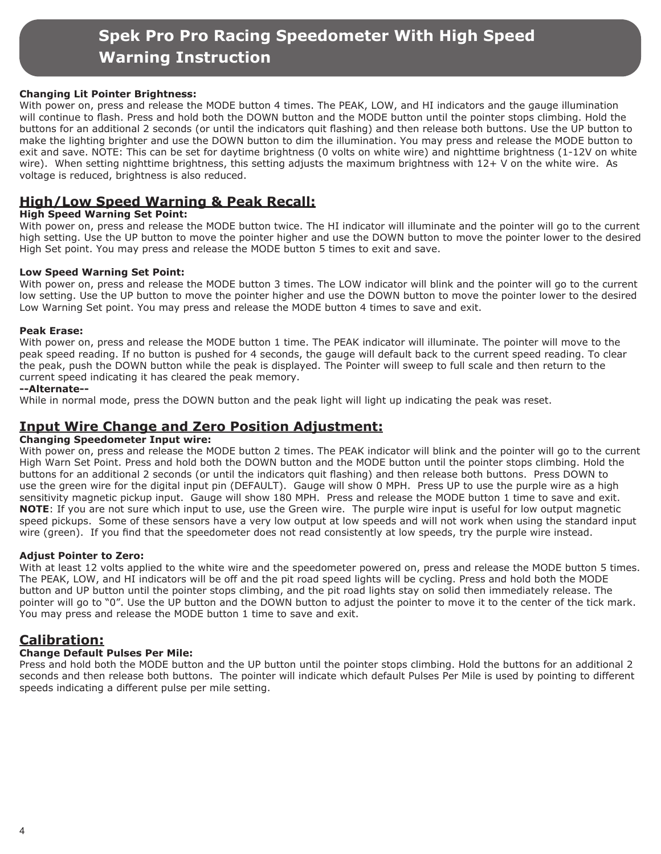## **Changing Lit Pointer Brightness:**

With power on, press and release the MODE button 4 times. The PEAK, LOW, and HI indicators and the gauge illumination will continue to flash. Press and hold both the DOWN button and the MODE button until the pointer stops climbing. Hold the buttons for an additional 2 seconds (or until the indicators quit flashing) and then release both buttons. Use the UP button to make the lighting brighter and use the DOWN button to dim the illumination. You may press and release the MODE button to exit and save. NOTE: This can be set for daytime brightness (0 volts on white wire) and nighttime brightness (1-12V on white wire). When setting nighttime brightness, this setting adjusts the maximum brightness with 12+ V on the white wire. As voltage is reduced, brightness is also reduced.

## **High/Low Speed Warning & Peak Recall:**

## **High Speed Warning Set Point:**

With power on, press and release the MODE button twice. The HI indicator will illuminate and the pointer will go to the current high setting. Use the UP button to move the pointer higher and use the DOWN button to move the pointer lower to the desired High Set point. You may press and release the MODE button 5 times to exit and save.

## **Low Speed Warning Set Point:**

With power on, press and release the MODE button 3 times. The LOW indicator will blink and the pointer will go to the current low setting. Use the UP button to move the pointer higher and use the DOWN button to move the pointer lower to the desired Low Warning Set point. You may press and release the MODE button 4 times to save and exit.

#### **Peak Erase:**

With power on, press and release the MODE button 1 time. The PEAK indicator will illuminate. The pointer will move to the peak speed reading. If no button is pushed for 4 seconds, the gauge will default back to the current speed reading. To clear the peak, push the DOWN button while the peak is displayed. The Pointer will sweep to full scale and then return to the current speed indicating it has cleared the peak memory.

#### **--Alternate--**

While in normal mode, press the DOWN button and the peak light will light up indicating the peak was reset.

## **Input Wire Change and Zero Position Adjustment:**

## **Changing Speedometer Input wire:**

With power on, press and release the MODE button 2 times. The PEAK indicator will blink and the pointer will go to the current High Warn Set Point. Press and hold both the DOWN button and the MODE button until the pointer stops climbing. Hold the buttons for an additional 2 seconds (or until the indicators quit flashing) and then release both buttons. Press DOWN to use the green wire for the digital input pin (DEFAULT). Gauge will show 0 MPH. Press UP to use the purple wire as a high sensitivity magnetic pickup input. Gauge will show 180 MPH. Press and release the MODE button 1 time to save and exit. **NOTE**: If you are not sure which input to use, use the Green wire. The purple wire input is useful for low output magnetic speed pickups. Some of these sensors have a very low output at low speeds and will not work when using the standard input wire (green). If you find that the speedometer does not read consistently at low speeds, try the purple wire instead.

## **Adjust Pointer to Zero:**

With at least 12 volts applied to the white wire and the speedometer powered on, press and release the MODE button 5 times. The PEAK, LOW, and HI indicators will be off and the pit road speed lights will be cycling. Press and hold both the MODE button and UP button until the pointer stops climbing, and the pit road lights stay on solid then immediately release. The pointer will go to "0". Use the UP button and the DOWN button to adjust the pointer to move it to the center of the tick mark. You may press and release the MODE button 1 time to save and exit.

## **Calibration:**

## **Change Default Pulses Per Mile:**

Press and hold both the MODE button and the UP button until the pointer stops climbing. Hold the buttons for an additional 2 seconds and then release both buttons. The pointer will indicate which default Pulses Per Mile is used by pointing to different speeds indicating a different pulse per mile setting.